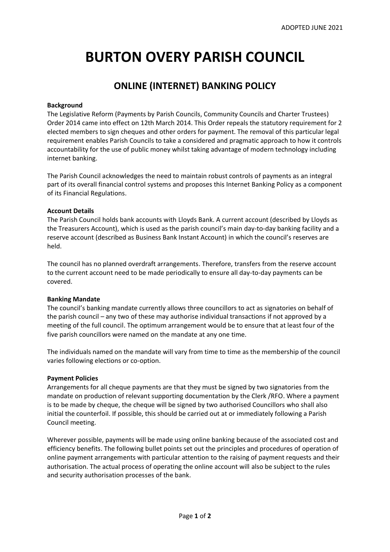# **BURTON OVERY PARISH COUNCIL**

# **ONLINE (INTERNET) BANKING POLICY**

#### **Background**

The Legislative Reform (Payments by Parish Councils, Community Councils and Charter Trustees) Order 2014 came into effect on 12th March 2014. This Order repeals the statutory requirement for 2 elected members to sign cheques and other orders for payment. The removal of this particular legal requirement enables Parish Councils to take a considered and pragmatic approach to how it controls accountability for the use of public money whilst taking advantage of modern technology including internet banking.

The Parish Council acknowledges the need to maintain robust controls of payments as an integral part of its overall financial control systems and proposes this Internet Banking Policy as a component of its Financial Regulations.

#### **Account Details**

The Parish Council holds bank accounts with Lloyds Bank. A current account (described by Lloyds as the Treasurers Account), which is used as the parish council's main day-to-day banking facility and a reserve account (described as Business Bank Instant Account) in which the council's reserves are held.

The council has no planned overdraft arrangements. Therefore, transfers from the reserve account to the current account need to be made periodically to ensure all day-to-day payments can be covered.

## **Banking Mandate**

The council's banking mandate currently allows three councillors to act as signatories on behalf of the parish council – any two of these may authorise individual transactions if not approved by a meeting of the full council. The optimum arrangement would be to ensure that at least four of the five parish councillors were named on the mandate at any one time.

The individuals named on the mandate will vary from time to time as the membership of the council varies following elections or co-option.

## **Payment Policies**

Arrangements for all cheque payments are that they must be signed by two signatories from the mandate on production of relevant supporting documentation by the Clerk /RFO. Where a payment is to be made by cheque, the cheque will be signed by two authorised Councillors who shall also initial the counterfoil. If possible, this should be carried out at or immediately following a Parish Council meeting.

Wherever possible, payments will be made using online banking because of the associated cost and efficiency benefits. The following bullet points set out the principles and procedures of operation of online payment arrangements with particular attention to the raising of payment requests and their authorisation. The actual process of operating the online account will also be subject to the rules and security authorisation processes of the bank.